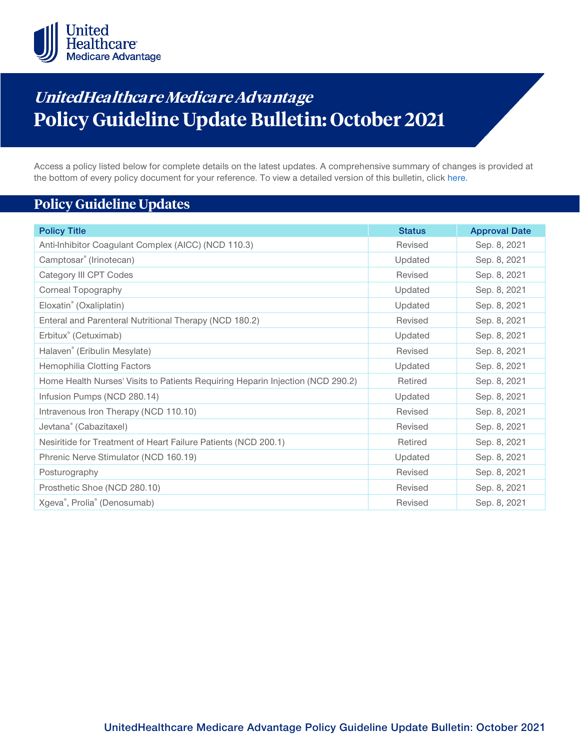

# **UnitedHealthca re Medicare Advantage Policy Guideline Update Bulletin: October 2021**

Access a policy listed below for complete details on the latest updates. A comprehensive summary of changes is provided at the bottom of every policy document for your reference. To view a detailed version of this bulletin, clic[k here.](https://www.uhcprovider.com/content/dam/provider/docs/public/policies/mpub-archives/mapg/medicare-advantage-policy-guideline-update-bulletin-october-2021-full.pdf)

## **Policy Guideline Updates**

| <b>Policy Title</b>                                                            | <b>Status</b> | <b>Approval Date</b> |
|--------------------------------------------------------------------------------|---------------|----------------------|
| Anti-Inhibitor Coagulant Complex (AICC) (NCD 110.3)                            | Revised       | Sep. 8, 2021         |
| Camptosar® (Irinotecan)                                                        | Updated       | Sep. 8, 2021         |
| Category III CPT Codes                                                         | Revised       | Sep. 8, 2021         |
| <b>Corneal Topography</b>                                                      | Updated       | Sep. 8, 2021         |
| Eloxatin® (Oxaliplatin)                                                        | Updated       | Sep. 8, 2021         |
| Enteral and Parenteral Nutritional Therapy (NCD 180.2)                         | Revised       | Sep. 8, 2021         |
| Erbitux <sup>®</sup> (Cetuximab)                                               | Updated       | Sep. 8, 2021         |
| Halaven® (Eribulin Mesylate)                                                   | Revised       | Sep. 8, 2021         |
| <b>Hemophilia Clotting Factors</b>                                             | Updated       | Sep. 8, 2021         |
| Home Health Nurses' Visits to Patients Requiring Heparin Injection (NCD 290.2) | Retired       | Sep. 8, 2021         |
| Infusion Pumps (NCD 280.14)                                                    | Updated       | Sep. 8, 2021         |
| Intravenous Iron Therapy (NCD 110.10)                                          | Revised       | Sep. 8, 2021         |
| Jevtana® (Cabazitaxel)                                                         | Revised       | Sep. 8, 2021         |
| Nesiritide for Treatment of Heart Failure Patients (NCD 200.1)                 | Retired       | Sep. 8, 2021         |
| Phrenic Nerve Stimulator (NCD 160.19)                                          | Updated       | Sep. 8, 2021         |
| Posturography                                                                  | Revised       | Sep. 8, 2021         |
| Prosthetic Shoe (NCD 280.10)                                                   | Revised       | Sep. 8, 2021         |
| Xgeva®, Prolia® (Denosumab)                                                    | Revised       | Sep. 8, 2021         |